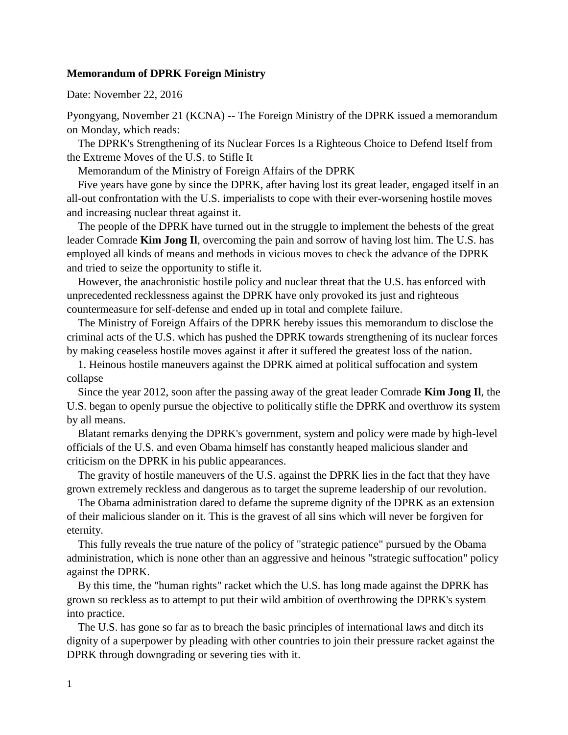## **Memorandum of DPRK Foreign Ministry**

Date: November 22, 2016

Pyongyang, November 21 (KCNA) -- The Foreign Ministry of the DPRK issued a memorandum on Monday, which reads:

 The DPRK's Strengthening of its Nuclear Forces Is a Righteous Choice to Defend Itself from the Extreme Moves of the U.S. to Stifle It

Memorandum of the Ministry of Foreign Affairs of the DPRK

 Five years have gone by since the DPRK, after having lost its great leader, engaged itself in an all-out confrontation with the U.S. imperialists to cope with their ever-worsening hostile moves and increasing nuclear threat against it.

 The people of the DPRK have turned out in the struggle to implement the behests of the great leader Comrade **Kim Jong Il**, overcoming the pain and sorrow of having lost him. The U.S. has employed all kinds of means and methods in vicious moves to check the advance of the DPRK and tried to seize the opportunity to stifle it.

 However, the anachronistic hostile policy and nuclear threat that the U.S. has enforced with unprecedented recklessness against the DPRK have only provoked its just and righteous countermeasure for self-defense and ended up in total and complete failure.

 The Ministry of Foreign Affairs of the DPRK hereby issues this memorandum to disclose the criminal acts of the U.S. which has pushed the DPRK towards strengthening of its nuclear forces by making ceaseless hostile moves against it after it suffered the greatest loss of the nation.

 1. Heinous hostile maneuvers against the DPRK aimed at political suffocation and system collapse

 Since the year 2012, soon after the passing away of the great leader Comrade **Kim Jong Il**, the U.S. began to openly pursue the objective to politically stifle the DPRK and overthrow its system by all means.

 Blatant remarks denying the DPRK's government, system and policy were made by high-level officials of the U.S. and even Obama himself has constantly heaped malicious slander and criticism on the DPRK in his public appearances.

 The gravity of hostile maneuvers of the U.S. against the DPRK lies in the fact that they have grown extremely reckless and dangerous as to target the supreme leadership of our revolution.

 The Obama administration dared to defame the supreme dignity of the DPRK as an extension of their malicious slander on it. This is the gravest of all sins which will never be forgiven for eternity.

 This fully reveals the true nature of the policy of "strategic patience" pursued by the Obama administration, which is none other than an aggressive and heinous "strategic suffocation" policy against the DPRK.

 By this time, the "human rights" racket which the U.S. has long made against the DPRK has grown so reckless as to attempt to put their wild ambition of overthrowing the DPRK's system into practice.

 The U.S. has gone so far as to breach the basic principles of international laws and ditch its dignity of a superpower by pleading with other countries to join their pressure racket against the DPRK through downgrading or severing ties with it.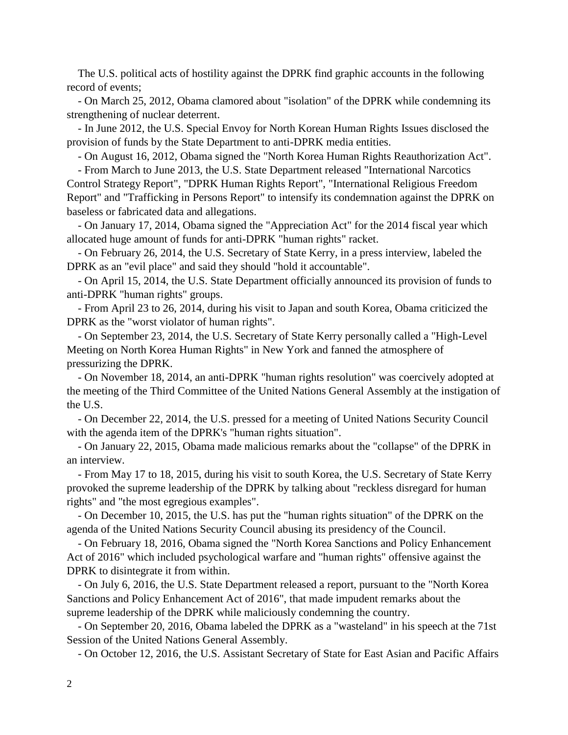The U.S. political acts of hostility against the DPRK find graphic accounts in the following record of events;

 - On March 25, 2012, Obama clamored about "isolation" of the DPRK while condemning its strengthening of nuclear deterrent.

 - In June 2012, the U.S. Special Envoy for North Korean Human Rights Issues disclosed the provision of funds by the State Department to anti-DPRK media entities.

- On August 16, 2012, Obama signed the "North Korea Human Rights Reauthorization Act".

 - From March to June 2013, the U.S. State Department released "International Narcotics Control Strategy Report", "DPRK Human Rights Report", "International Religious Freedom Report" and "Trafficking in Persons Report" to intensify its condemnation against the DPRK on baseless or fabricated data and allegations.

 - On January 17, 2014, Obama signed the "Appreciation Act" for the 2014 fiscal year which allocated huge amount of funds for anti-DPRK "human rights" racket.

 - On February 26, 2014, the U.S. Secretary of State Kerry, in a press interview, labeled the DPRK as an "evil place" and said they should "hold it accountable".

 - On April 15, 2014, the U.S. State Department officially announced its provision of funds to anti-DPRK "human rights" groups.

 - From April 23 to 26, 2014, during his visit to Japan and south Korea, Obama criticized the DPRK as the "worst violator of human rights".

 - On September 23, 2014, the U.S. Secretary of State Kerry personally called a "High-Level Meeting on North Korea Human Rights" in New York and fanned the atmosphere of pressurizing the DPRK.

 - On November 18, 2014, an anti-DPRK "human rights resolution" was coercively adopted at the meeting of the Third Committee of the United Nations General Assembly at the instigation of the U.S.

 - On December 22, 2014, the U.S. pressed for a meeting of United Nations Security Council with the agenda item of the DPRK's "human rights situation".

 - On January 22, 2015, Obama made malicious remarks about the "collapse" of the DPRK in an interview.

 - From May 17 to 18, 2015, during his visit to south Korea, the U.S. Secretary of State Kerry provoked the supreme leadership of the DPRK by talking about "reckless disregard for human rights" and "the most egregious examples".

 - On December 10, 2015, the U.S. has put the "human rights situation" of the DPRK on the agenda of the United Nations Security Council abusing its presidency of the Council.

 - On February 18, 2016, Obama signed the "North Korea Sanctions and Policy Enhancement Act of 2016" which included psychological warfare and "human rights" offensive against the DPRK to disintegrate it from within.

 - On July 6, 2016, the U.S. State Department released a report, pursuant to the "North Korea Sanctions and Policy Enhancement Act of 2016", that made impudent remarks about the supreme leadership of the DPRK while maliciously condemning the country.

 - On September 20, 2016, Obama labeled the DPRK as a "wasteland" in his speech at the 71st Session of the United Nations General Assembly.

- On October 12, 2016, the U.S. Assistant Secretary of State for East Asian and Pacific Affairs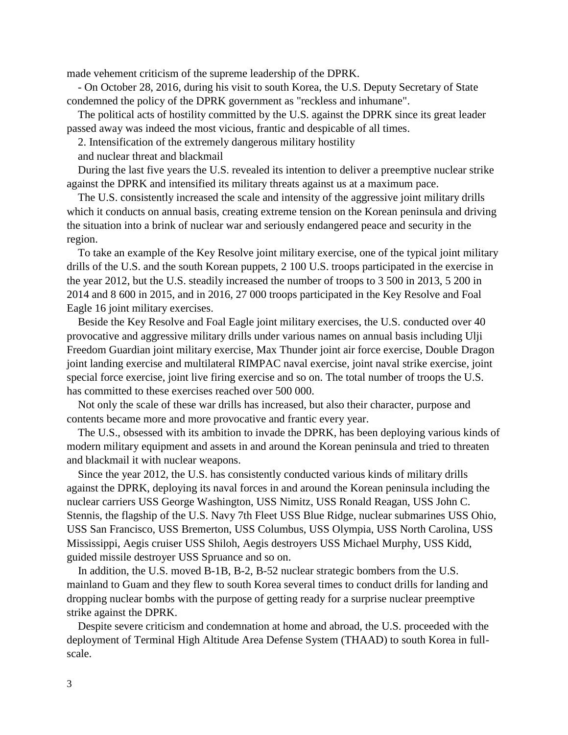made vehement criticism of the supreme leadership of the DPRK.

 - On October 28, 2016, during his visit to south Korea, the U.S. Deputy Secretary of State condemned the policy of the DPRK government as "reckless and inhumane".

 The political acts of hostility committed by the U.S. against the DPRK since its great leader passed away was indeed the most vicious, frantic and despicable of all times.

2. Intensification of the extremely dangerous military hostility

and nuclear threat and blackmail

 During the last five years the U.S. revealed its intention to deliver a preemptive nuclear strike against the DPRK and intensified its military threats against us at a maximum pace.

 The U.S. consistently increased the scale and intensity of the aggressive joint military drills which it conducts on annual basis, creating extreme tension on the Korean peninsula and driving the situation into a brink of nuclear war and seriously endangered peace and security in the region.

 To take an example of the Key Resolve joint military exercise, one of the typical joint military drills of the U.S. and the south Korean puppets, 2 100 U.S. troops participated in the exercise in the year 2012, but the U.S. steadily increased the number of troops to 3 500 in 2013, 5 200 in 2014 and 8 600 in 2015, and in 2016, 27 000 troops participated in the Key Resolve and Foal Eagle 16 joint military exercises.

 Beside the Key Resolve and Foal Eagle joint military exercises, the U.S. conducted over 40 provocative and aggressive military drills under various names on annual basis including Ulji Freedom Guardian joint military exercise, Max Thunder joint air force exercise, Double Dragon joint landing exercise and multilateral RIMPAC naval exercise, joint naval strike exercise, joint special force exercise, joint live firing exercise and so on. The total number of troops the U.S. has committed to these exercises reached over 500 000.

 Not only the scale of these war drills has increased, but also their character, purpose and contents became more and more provocative and frantic every year.

 The U.S., obsessed with its ambition to invade the DPRK, has been deploying various kinds of modern military equipment and assets in and around the Korean peninsula and tried to threaten and blackmail it with nuclear weapons.

 Since the year 2012, the U.S. has consistently conducted various kinds of military drills against the DPRK, deploying its naval forces in and around the Korean peninsula including the nuclear carriers USS George Washington, USS Nimitz, USS Ronald Reagan, USS John C. Stennis, the flagship of the U.S. Navy 7th Fleet USS Blue Ridge, nuclear submarines USS Ohio, USS San Francisco, USS Bremerton, USS Columbus, USS Olympia, USS North Carolina, USS Mississippi, Aegis cruiser USS Shiloh, Aegis destroyers USS Michael Murphy, USS Kidd, guided missile destroyer USS Spruance and so on.

 In addition, the U.S. moved B-1B, B-2, B-52 nuclear strategic bombers from the U.S. mainland to Guam and they flew to south Korea several times to conduct drills for landing and dropping nuclear bombs with the purpose of getting ready for a surprise nuclear preemptive strike against the DPRK.

 Despite severe criticism and condemnation at home and abroad, the U.S. proceeded with the deployment of Terminal High Altitude Area Defense System (THAAD) to south Korea in fullscale.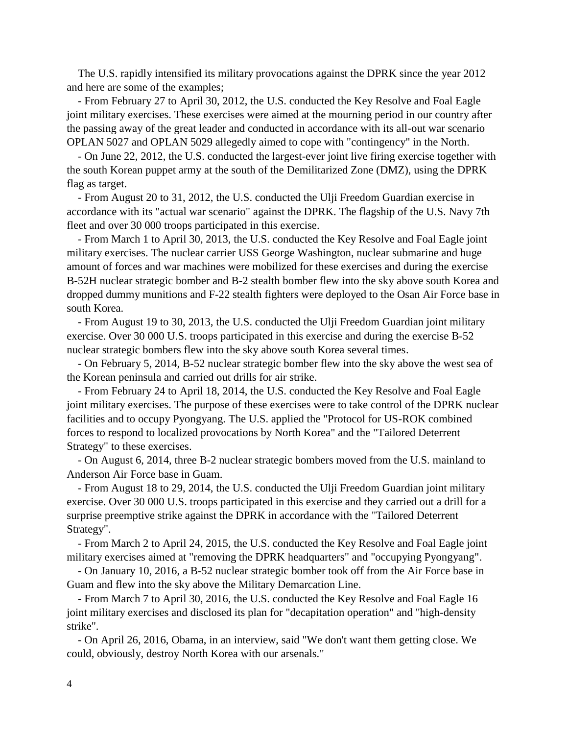The U.S. rapidly intensified its military provocations against the DPRK since the year 2012 and here are some of the examples;

 - From February 27 to April 30, 2012, the U.S. conducted the Key Resolve and Foal Eagle joint military exercises. These exercises were aimed at the mourning period in our country after the passing away of the great leader and conducted in accordance with its all-out war scenario OPLAN 5027 and OPLAN 5029 allegedly aimed to cope with "contingency" in the North.

 - On June 22, 2012, the U.S. conducted the largest-ever joint live firing exercise together with the south Korean puppet army at the south of the Demilitarized Zone (DMZ), using the DPRK flag as target.

 - From August 20 to 31, 2012, the U.S. conducted the Ulji Freedom Guardian exercise in accordance with its "actual war scenario" against the DPRK. The flagship of the U.S. Navy 7th fleet and over 30 000 troops participated in this exercise.

 - From March 1 to April 30, 2013, the U.S. conducted the Key Resolve and Foal Eagle joint military exercises. The nuclear carrier USS George Washington, nuclear submarine and huge amount of forces and war machines were mobilized for these exercises and during the exercise B-52H nuclear strategic bomber and B-2 stealth bomber flew into the sky above south Korea and dropped dummy munitions and F-22 stealth fighters were deployed to the Osan Air Force base in south Korea.

 - From August 19 to 30, 2013, the U.S. conducted the Ulji Freedom Guardian joint military exercise. Over 30 000 U.S. troops participated in this exercise and during the exercise B-52 nuclear strategic bombers flew into the sky above south Korea several times.

 - On February 5, 2014, B-52 nuclear strategic bomber flew into the sky above the west sea of the Korean peninsula and carried out drills for air strike.

 - From February 24 to April 18, 2014, the U.S. conducted the Key Resolve and Foal Eagle joint military exercises. The purpose of these exercises were to take control of the DPRK nuclear facilities and to occupy Pyongyang. The U.S. applied the "Protocol for US-ROK combined forces to respond to localized provocations by North Korea" and the "Tailored Deterrent Strategy" to these exercises.

 - On August 6, 2014, three B-2 nuclear strategic bombers moved from the U.S. mainland to Anderson Air Force base in Guam.

 - From August 18 to 29, 2014, the U.S. conducted the Ulji Freedom Guardian joint military exercise. Over 30 000 U.S. troops participated in this exercise and they carried out a drill for a surprise preemptive strike against the DPRK in accordance with the "Tailored Deterrent Strategy".

 - From March 2 to April 24, 2015, the U.S. conducted the Key Resolve and Foal Eagle joint military exercises aimed at "removing the DPRK headquarters" and "occupying Pyongyang".

 - On January 10, 2016, a B-52 nuclear strategic bomber took off from the Air Force base in Guam and flew into the sky above the Military Demarcation Line.

 - From March 7 to April 30, 2016, the U.S. conducted the Key Resolve and Foal Eagle 16 joint military exercises and disclosed its plan for "decapitation operation" and "high-density strike".

 - On April 26, 2016, Obama, in an interview, said "We don't want them getting close. We could, obviously, destroy North Korea with our arsenals."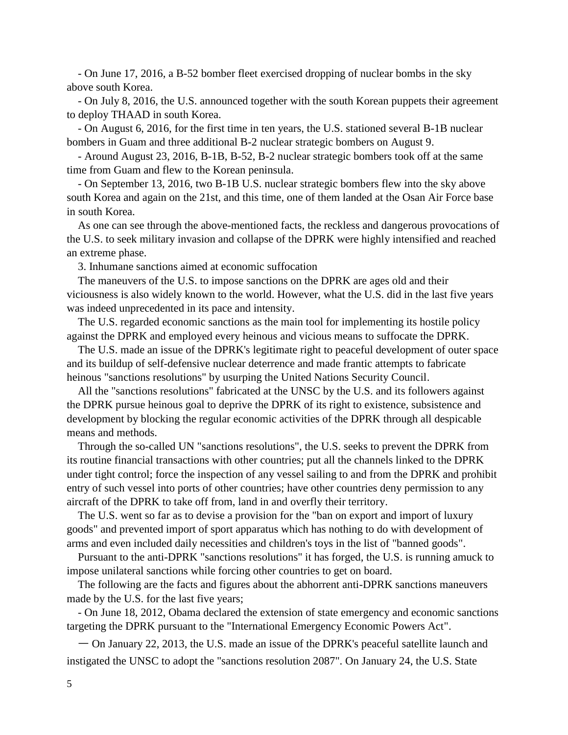- On June 17, 2016, a B-52 bomber fleet exercised dropping of nuclear bombs in the sky above south Korea.

 - On July 8, 2016, the U.S. announced together with the south Korean puppets their agreement to deploy THAAD in south Korea.

 - On August 6, 2016, for the first time in ten years, the U.S. stationed several B-1B nuclear bombers in Guam and three additional B-2 nuclear strategic bombers on August 9.

 - Around August 23, 2016, B-1B, B-52, B-2 nuclear strategic bombers took off at the same time from Guam and flew to the Korean peninsula.

 - On September 13, 2016, two B-1B U.S. nuclear strategic bombers flew into the sky above south Korea and again on the 21st, and this time, one of them landed at the Osan Air Force base in south Korea.

 As one can see through the above-mentioned facts, the reckless and dangerous provocations of the U.S. to seek military invasion and collapse of the DPRK were highly intensified and reached an extreme phase.

3. Inhumane sanctions aimed at economic suffocation

 The maneuvers of the U.S. to impose sanctions on the DPRK are ages old and their viciousness is also widely known to the world. However, what the U.S. did in the last five years was indeed unprecedented in its pace and intensity.

 The U.S. regarded economic sanctions as the main tool for implementing its hostile policy against the DPRK and employed every heinous and vicious means to suffocate the DPRK.

 The U.S. made an issue of the DPRK's legitimate right to peaceful development of outer space and its buildup of self-defensive nuclear deterrence and made frantic attempts to fabricate heinous "sanctions resolutions" by usurping the United Nations Security Council.

 All the "sanctions resolutions" fabricated at the UNSC by the U.S. and its followers against the DPRK pursue heinous goal to deprive the DPRK of its right to existence, subsistence and development by blocking the regular economic activities of the DPRK through all despicable means and methods.

 Through the so-called UN "sanctions resolutions", the U.S. seeks to prevent the DPRK from its routine financial transactions with other countries; put all the channels linked to the DPRK under tight control; force the inspection of any vessel sailing to and from the DPRK and prohibit entry of such vessel into ports of other countries; have other countries deny permission to any aircraft of the DPRK to take off from, land in and overfly their territory.

 The U.S. went so far as to devise a provision for the "ban on export and import of luxury goods" and prevented import of sport apparatus which has nothing to do with development of arms and even included daily necessities and children's toys in the list of "banned goods".

 Pursuant to the anti-DPRK "sanctions resolutions" it has forged, the U.S. is running amuck to impose unilateral sanctions while forcing other countries to get on board.

 The following are the facts and figures about the abhorrent anti-DPRK sanctions maneuvers made by the U.S. for the last five years;

 - On June 18, 2012, Obama declared the extension of state emergency and economic sanctions targeting the DPRK pursuant to the "International Emergency Economic Powers Act".

 ㅡ On January 22, 2013, the U.S. made an issue of the DPRK's peaceful satellite launch and instigated the UNSC to adopt the "sanctions resolution 2087". On January 24, the U.S. State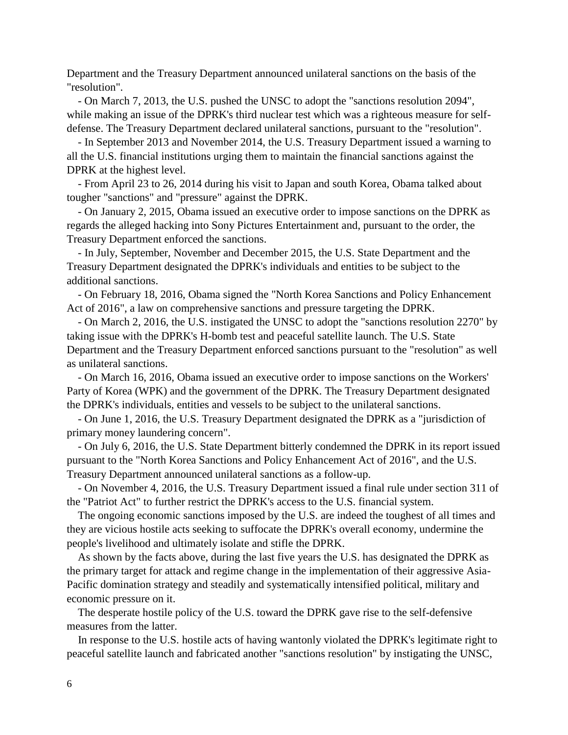Department and the Treasury Department announced unilateral sanctions on the basis of the "resolution".

 - On March 7, 2013, the U.S. pushed the UNSC to adopt the "sanctions resolution 2094", while making an issue of the DPRK's third nuclear test which was a righteous measure for selfdefense. The Treasury Department declared unilateral sanctions, pursuant to the "resolution".

 - In September 2013 and November 2014, the U.S. Treasury Department issued a warning to all the U.S. financial institutions urging them to maintain the financial sanctions against the DPRK at the highest level.

 - From April 23 to 26, 2014 during his visit to Japan and south Korea, Obama talked about tougher "sanctions" and "pressure" against the DPRK.

 - On January 2, 2015, Obama issued an executive order to impose sanctions on the DPRK as regards the alleged hacking into Sony Pictures Entertainment and, pursuant to the order, the Treasury Department enforced the sanctions.

 - In July, September, November and December 2015, the U.S. State Department and the Treasury Department designated the DPRK's individuals and entities to be subject to the additional sanctions.

 - On February 18, 2016, Obama signed the "North Korea Sanctions and Policy Enhancement Act of 2016", a law on comprehensive sanctions and pressure targeting the DPRK.

 - On March 2, 2016, the U.S. instigated the UNSC to adopt the "sanctions resolution 2270" by taking issue with the DPRK's H-bomb test and peaceful satellite launch. The U.S. State Department and the Treasury Department enforced sanctions pursuant to the "resolution" as well as unilateral sanctions.

 - On March 16, 2016, Obama issued an executive order to impose sanctions on the Workers' Party of Korea (WPK) and the government of the DPRK. The Treasury Department designated the DPRK's individuals, entities and vessels to be subject to the unilateral sanctions.

 - On June 1, 2016, the U.S. Treasury Department designated the DPRK as a "jurisdiction of primary money laundering concern".

 - On July 6, 2016, the U.S. State Department bitterly condemned the DPRK in its report issued pursuant to the "North Korea Sanctions and Policy Enhancement Act of 2016", and the U.S. Treasury Department announced unilateral sanctions as a follow-up.

 - On November 4, 2016, the U.S. Treasury Department issued a final rule under section 311 of the "Patriot Act" to further restrict the DPRK's access to the U.S. financial system.

 The ongoing economic sanctions imposed by the U.S. are indeed the toughest of all times and they are vicious hostile acts seeking to suffocate the DPRK's overall economy, undermine the people's livelihood and ultimately isolate and stifle the DPRK.

 As shown by the facts above, during the last five years the U.S. has designated the DPRK as the primary target for attack and regime change in the implementation of their aggressive Asia-Pacific domination strategy and steadily and systematically intensified political, military and economic pressure on it.

 The desperate hostile policy of the U.S. toward the DPRK gave rise to the self-defensive measures from the latter.

 In response to the U.S. hostile acts of having wantonly violated the DPRK's legitimate right to peaceful satellite launch and fabricated another "sanctions resolution" by instigating the UNSC,